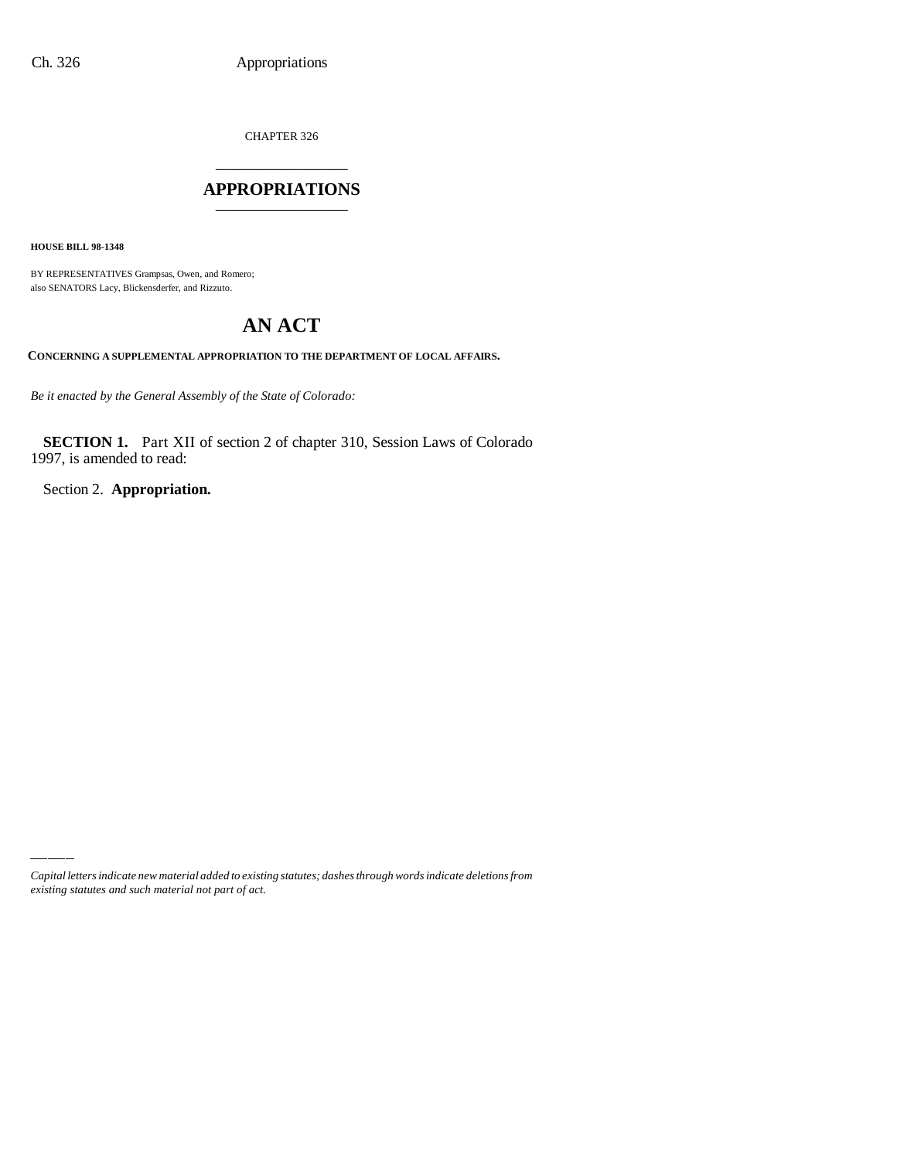CHAPTER 326 \_\_\_\_\_\_\_\_\_\_\_\_\_\_\_

#### **APPROPRIATIONS** \_\_\_\_\_\_\_\_\_\_\_\_\_\_\_

**HOUSE BILL 98-1348**

BY REPRESENTATIVES Grampsas, Owen, and Romero; also SENATORS Lacy, Blickensderfer, and Rizzuto.

# **AN ACT**

**CONCERNING A SUPPLEMENTAL APPROPRIATION TO THE DEPARTMENT OF LOCAL AFFAIRS.**

*Be it enacted by the General Assembly of the State of Colorado:*

**SECTION 1.** Part XII of section 2 of chapter 310, Session Laws of Colorado 1997, is amended to read:

Section 2. **Appropriation.**

*Capital letters indicate new material added to existing statutes; dashes through words indicate deletions from existing statutes and such material not part of act.*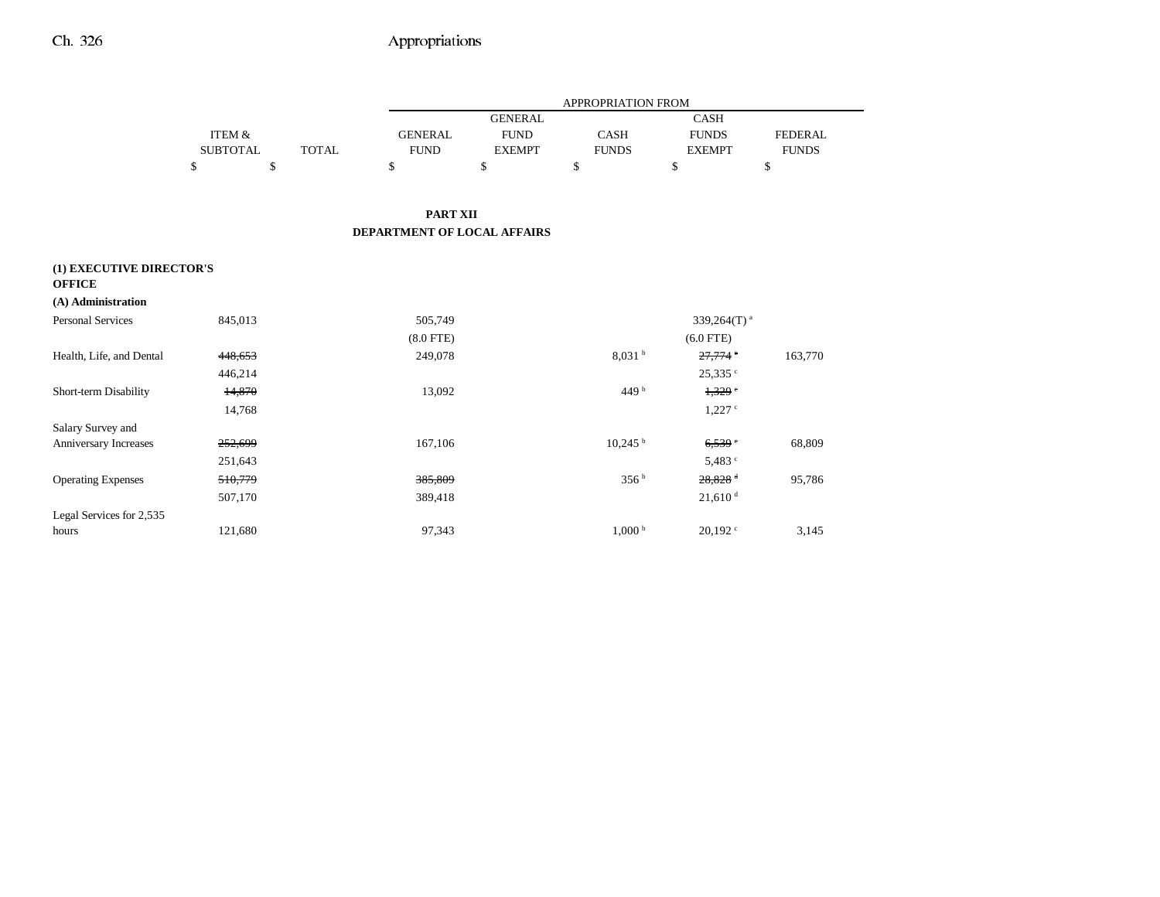|                           |                   |              | APPROPRIATION FROM          |                |                       |                         |                |  |
|---------------------------|-------------------|--------------|-----------------------------|----------------|-----------------------|-------------------------|----------------|--|
|                           |                   |              |                             | <b>GENERAL</b> |                       | <b>CASH</b>             |                |  |
|                           | <b>ITEM &amp;</b> |              | <b>GENERAL</b>              | <b>FUND</b>    | <b>CASH</b>           | <b>FUNDS</b>            | <b>FEDERAL</b> |  |
|                           | <b>SUBTOTAL</b>   | <b>TOTAL</b> | <b>FUND</b>                 | <b>EXEMPT</b>  | <b>FUNDS</b>          | <b>EXEMPT</b>           | <b>FUNDS</b>   |  |
|                           | \$                | \$           | \$                          | \$             | \$                    | \$                      | \$             |  |
|                           |                   |              |                             |                |                       |                         |                |  |
|                           |                   |              | <b>PART XII</b>             |                |                       |                         |                |  |
|                           |                   |              | DEPARTMENT OF LOCAL AFFAIRS |                |                       |                         |                |  |
| (1) EXECUTIVE DIRECTOR'S  |                   |              |                             |                |                       |                         |                |  |
| <b>OFFICE</b>             |                   |              |                             |                |                       |                         |                |  |
| (A) Administration        |                   |              |                             |                |                       |                         |                |  |
| <b>Personal Services</b>  | 845,013           |              | 505,749                     |                |                       | 339,264(T) <sup>a</sup> |                |  |
|                           |                   |              | $(8.0$ FTE)                 |                |                       | $(6.0$ FTE)             |                |  |
| Health, Life, and Dental  | 448,653           |              | 249,078                     |                | 8,031h                | 27,774                  | 163,770        |  |
|                           | 446,214           |              |                             |                |                       | 25,335 °                |                |  |
| Short-term Disability     | 14,870            |              | 13,092                      |                | 449 $b$               | 1,329                   |                |  |
|                           | 14,768            |              |                             |                |                       | $1,227$ $\circ$         |                |  |
| Salary Survey and         |                   |              |                             |                |                       |                         |                |  |
| Anniversary Increases     | 252,699           |              | 167,106                     |                | $10,245$ <sup>b</sup> | 6,539                   | 68,809         |  |
|                           | 251,643           |              |                             |                |                       | 5,483 c                 |                |  |
| <b>Operating Expenses</b> | 510,779           |              | 385,809                     |                | 356 <sup>b</sup>      | $28,828$ <sup>d</sup>   | 95,786         |  |
|                           | 507,170           |              | 389,418                     |                |                       | $21,610$ <sup>d</sup>   |                |  |
| Legal Services for 2,535  |                   |              |                             |                |                       |                         |                |  |
| hours                     | 121,680           |              | 97,343                      |                | 1,000 <sup>b</sup>    | $20,192$ <sup>c</sup>   | 3,145          |  |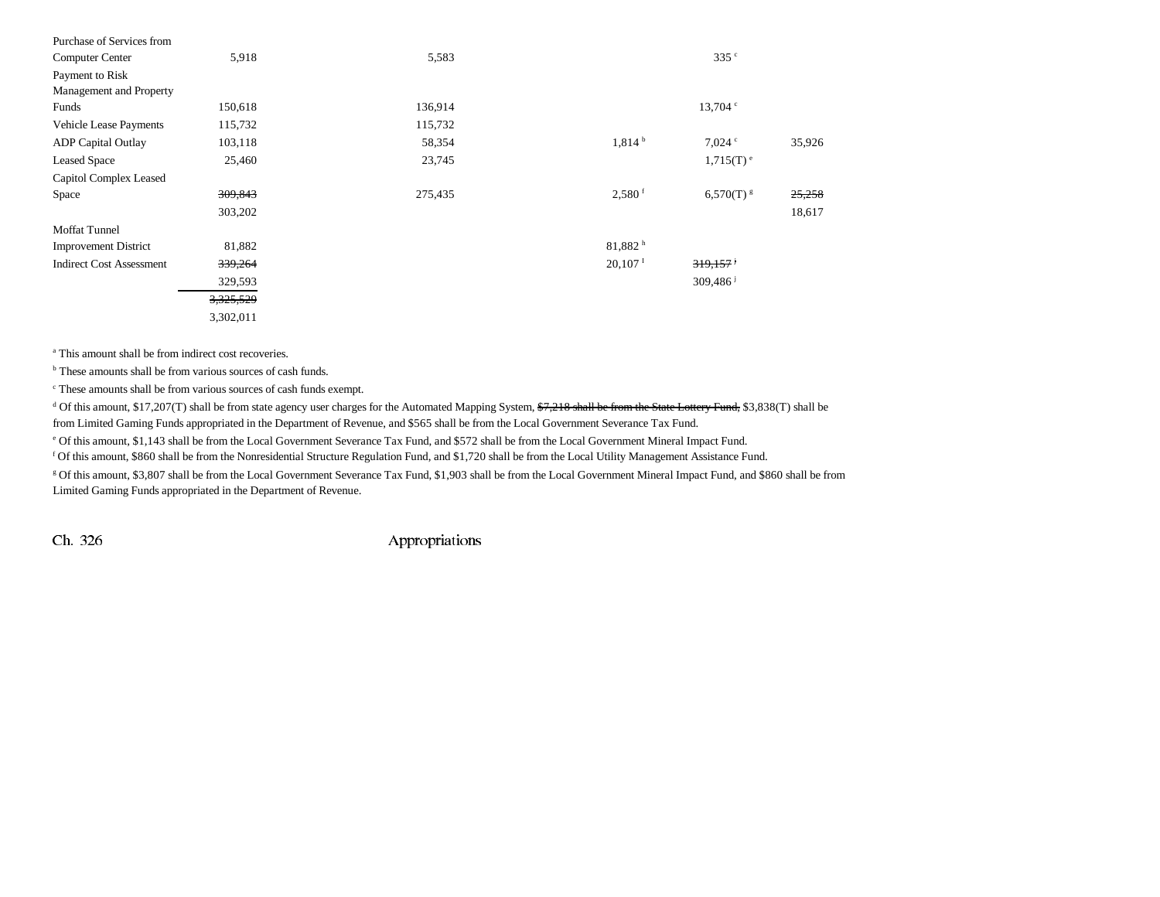| Purchase of Services from       |                    |         |                      |                         |        |
|---------------------------------|--------------------|---------|----------------------|-------------------------|--------|
| <b>Computer Center</b>          | 5,918              | 5,583   |                      | 335c                    |        |
| Payment to Risk                 |                    |         |                      |                         |        |
| Management and Property         |                    |         |                      |                         |        |
| Funds                           | 150,618            | 136,914 |                      | $13,704$ $\degree$      |        |
| <b>Vehicle Lease Payments</b>   | 115,732            | 115,732 |                      |                         |        |
| <b>ADP</b> Capital Outlay       | 103,118            | 58,354  | 1,814 <sup>b</sup>   | $7,024$ $\degree$       | 35,926 |
| <b>Leased Space</b>             | 25,460             | 23,745  |                      | $1,715(T)$ <sup>e</sup> |        |
| Capitol Complex Leased          |                    |         |                      |                         |        |
| Space                           | 309,843            | 275,435 | $2,580$ <sup>f</sup> | $6,570(T)$ $\rm{s}$     | 25,258 |
|                                 | 303,202            |         |                      |                         | 18,617 |
| <b>Moffat Tunnel</b>            |                    |         |                      |                         |        |
| <b>Improvement District</b>     | 81,882             |         | 81,882h              |                         |        |
| <b>Indirect Cost Assessment</b> | <del>339,264</del> |         | 20,107 <sup>T</sup>  | 319,157                 |        |
|                                 | 329,593            |         |                      | 309,486                 |        |
|                                 | 3,325,529          |         |                      |                         |        |
|                                 | 3,302,011          |         |                      |                         |        |

<sup>a</sup> This amount shall be from indirect cost recoveries.

<sup>b</sup> These amounts shall be from various sources of cash funds.

c These amounts shall be from various sources of cash funds exempt.

<sup>d</sup> Of this amount, \$17,207(T) shall be from state agency user charges for the Automated Mapping System,  $\frac{67,218}{7,218}$  shall be from the State Lottery Fund, \$3,838(T) shall be from Limited Gaming Funds appropriated in the Department of Revenue, and \$565 shall be from the Local Government Severance Tax Fund.

e Of this amount, \$1,143 shall be from the Local Government Severance Tax Fund, and \$572 shall be from the Local Government Mineral Impact Fund.

f Of this amount, \$860 shall be from the Nonresidential Structure Regulation Fund, and \$1,720 shall be from the Local Utility Management Assistance Fund.

g Of this amount, \$3,807 shall be from the Local Government Severance Tax Fund, \$1,903 shall be from the Local Government Mineral Impact Fund, and \$860 shall be from Limited Gaming Funds appropriated in the Department of Revenue.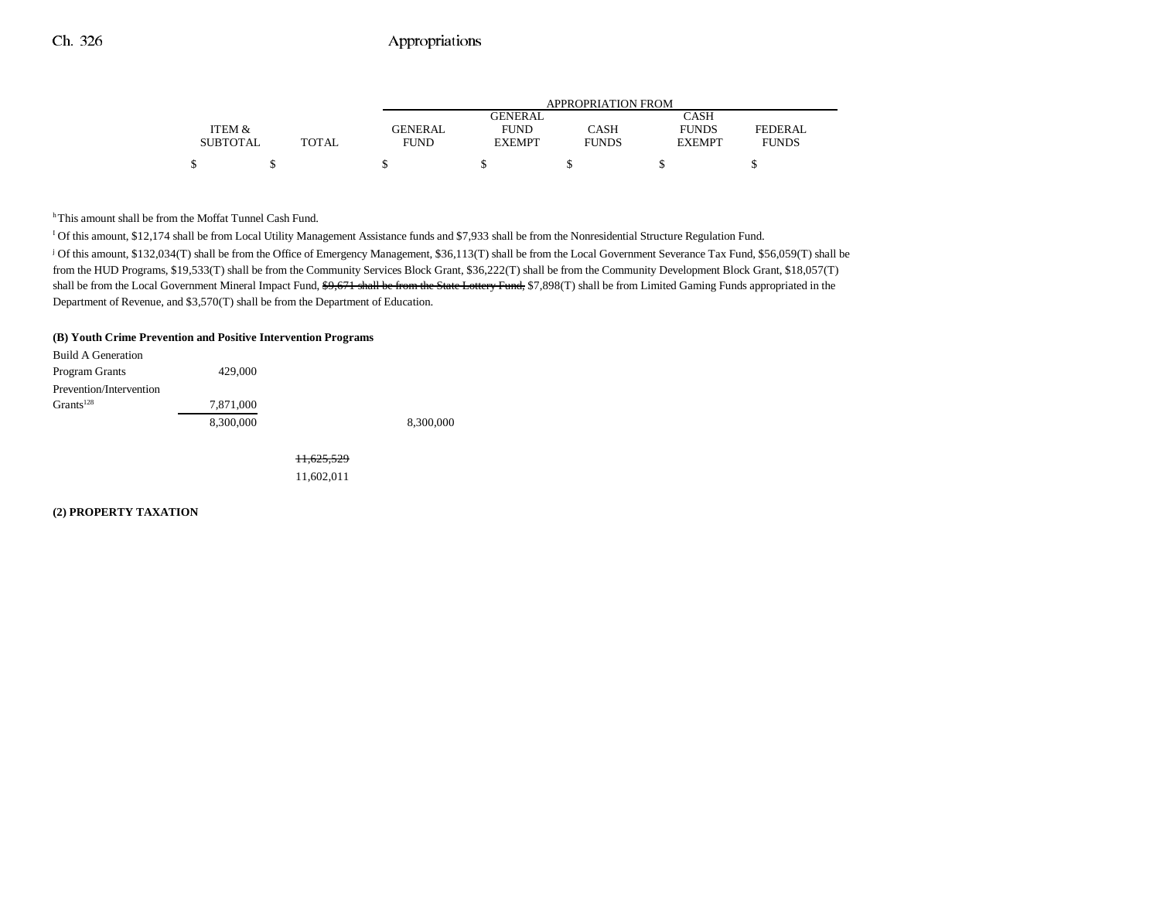|                 |              | APPROPRIATION FROM |               |              |               |              |  |  |
|-----------------|--------------|--------------------|---------------|--------------|---------------|--------------|--|--|
|                 |              |                    | GENERAL       |              | CASH          |              |  |  |
| ITEM &          |              | <b>GENERAL</b>     | <b>FUND</b>   | CASH         | <b>FUNDS</b>  | FEDERAL      |  |  |
| <b>SUBTOTAL</b> | <b>TOTAL</b> | FUND               | <b>EXEMPT</b> | <b>FUNDS</b> | <b>EXEMPT</b> | <b>FUNDS</b> |  |  |
|                 |              |                    |               |              |               |              |  |  |

<sup>h</sup> This amount shall be from the Moffat Tunnel Cash Fund.

I Of this amount, \$12,174 shall be from Local Utility Management Assistance funds and \$7,933 shall be from the Nonresidential Structure Regulation Fund. j Of this amount, \$132,034(T) shall be from the Office of Emergency Management, \$36,113(T) shall be from the Local Government Severance Tax Fund, \$56,059(T) shall be from the HUD Programs, \$19,533(T) shall be from the Community Services Block Grant, \$36,222(T) shall be from the Community Development Block Grant, \$18,057(T) shall be from the Local Government Mineral Impact Fund, \$9,671 shall be from the State Lottery Fund, \$7,898(T) shall be from Limited Gaming Funds appropriated in the Department of Revenue, and \$3,570(T) shall be from the Department of Education.

#### **(B) Youth Crime Prevention and Positive Intervention Programs**

| Build A Generation      |           |           |
|-------------------------|-----------|-----------|
| Program Grants          | 429,000   |           |
| Prevention/Intervention |           |           |
| Grants <sup>128</sup>   | 7,871,000 |           |
|                         | 8.300,000 | 8,300,000 |

11,625,529 11,602,011

**(2) PROPERTY TAXATION**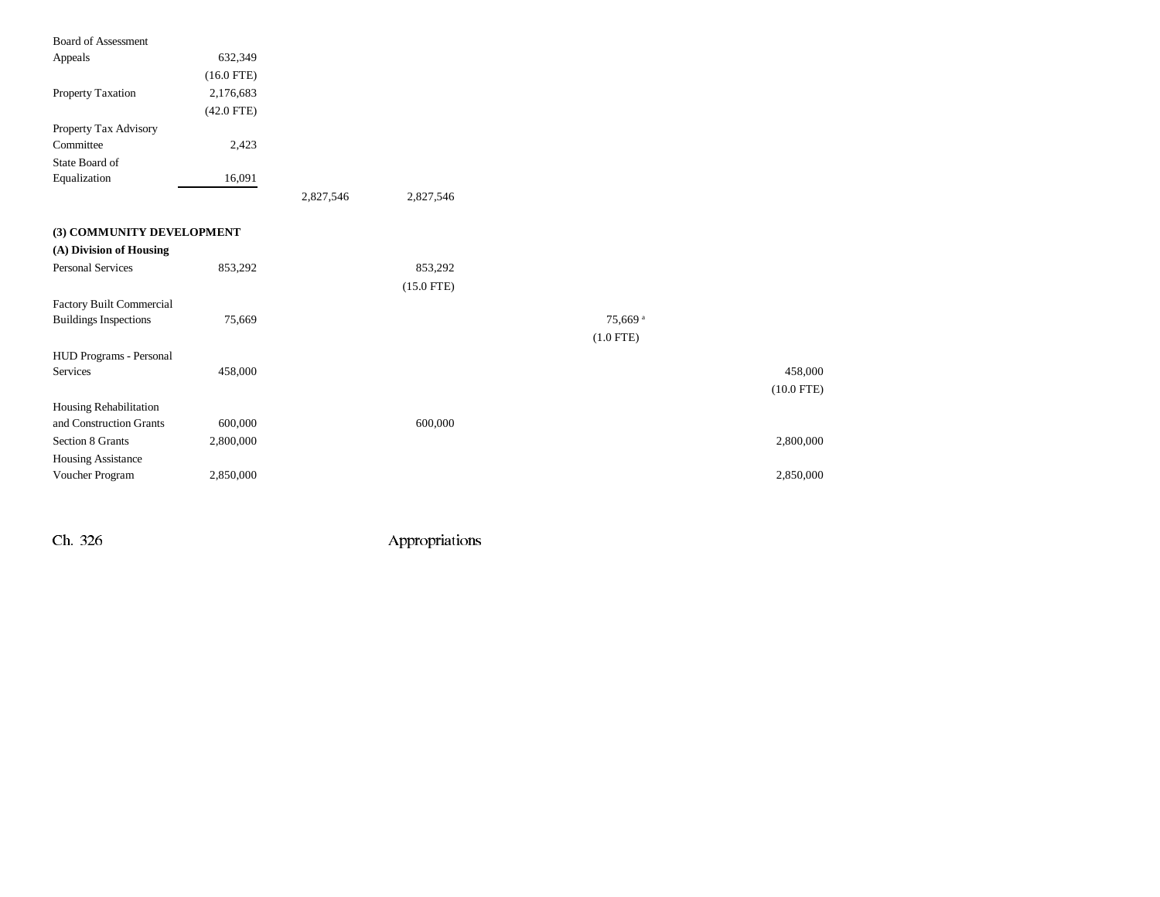| <b>Board of Assessment</b>   |              |           |              |                     |              |
|------------------------------|--------------|-----------|--------------|---------------------|--------------|
| Appeals                      | 632,349      |           |              |                     |              |
|                              | $(16.0$ FTE) |           |              |                     |              |
| Property Taxation            | 2,176,683    |           |              |                     |              |
|                              | $(42.0$ FTE) |           |              |                     |              |
| Property Tax Advisory        |              |           |              |                     |              |
| Committee                    | 2,423        |           |              |                     |              |
| State Board of               |              |           |              |                     |              |
| Equalization                 | 16,091       |           |              |                     |              |
|                              |              | 2,827,546 | 2,827,546    |                     |              |
| (3) COMMUNITY DEVELOPMENT    |              |           |              |                     |              |
| (A) Division of Housing      |              |           |              |                     |              |
| <b>Personal Services</b>     | 853,292      |           | 853,292      |                     |              |
|                              |              |           | $(15.0$ FTE) |                     |              |
| Factory Built Commercial     |              |           |              |                     |              |
| <b>Buildings Inspections</b> | 75,669       |           |              | 75,669 <sup>a</sup> |              |
|                              |              |           |              | $(1.0$ FTE)         |              |
| HUD Programs - Personal      |              |           |              |                     |              |
| Services                     | 458,000      |           |              |                     | 458,000      |
|                              |              |           |              |                     | $(10.0$ FTE) |
| Housing Rehabilitation       |              |           |              |                     |              |
| and Construction Grants      | 600,000      |           | 600,000      |                     |              |
| Section 8 Grants             | 2,800,000    |           |              |                     | 2,800,000    |
| Housing Assistance           |              |           |              |                     |              |
| Voucher Program              | 2,850,000    |           |              |                     | 2,850,000    |
|                              |              |           |              |                     |              |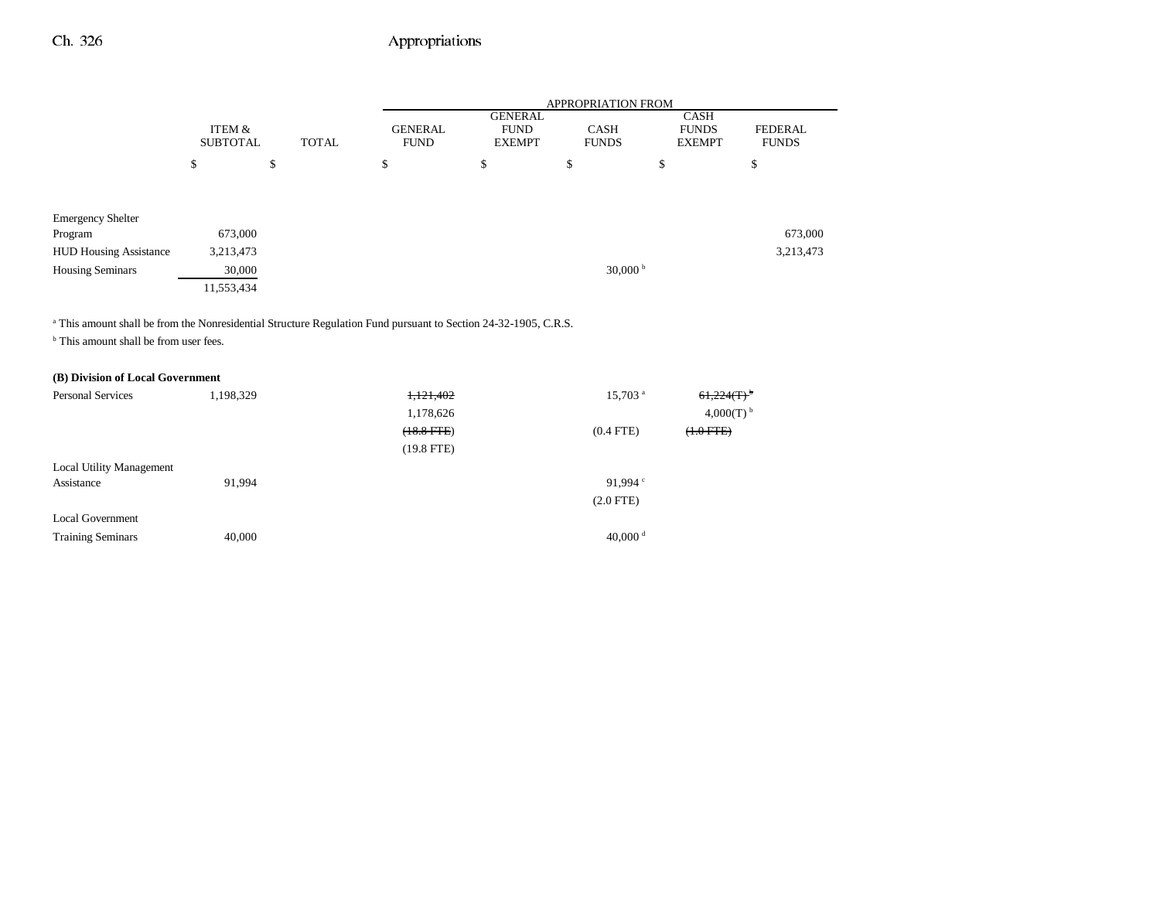|                               |                           |              |                               | APPROPRIATION FROM                             |                             |                                              |                                |
|-------------------------------|---------------------------|--------------|-------------------------------|------------------------------------------------|-----------------------------|----------------------------------------------|--------------------------------|
|                               | ITEM &<br><b>SUBTOTAL</b> | <b>TOTAL</b> | <b>GENERAL</b><br><b>FUND</b> | <b>GENERAL</b><br><b>FUND</b><br><b>EXEMPT</b> | <b>CASH</b><br><b>FUNDS</b> | <b>CASH</b><br><b>FUNDS</b><br><b>EXEMPT</b> | <b>FEDERAL</b><br><b>FUNDS</b> |
|                               | \$                        | \$           | \$                            | \$                                             | \$                          | \$                                           | \$                             |
|                               |                           |              |                               |                                                |                             |                                              |                                |
| <b>Emergency Shelter</b>      |                           |              |                               |                                                |                             |                                              |                                |
| Program                       | 673,000                   |              |                               |                                                |                             |                                              | 673,000                        |
| <b>HUD Housing Assistance</b> | 3,213,473                 |              |                               |                                                |                             |                                              | 3,213,473                      |
| <b>Housing Seminars</b>       | 30,000                    |              |                               |                                                | 30,000 $^{\rm b}$           |                                              |                                |
|                               | 11,553,434                |              |                               |                                                |                             |                                              |                                |
|                               |                           |              |                               |                                                |                             |                                              |                                |
|                               |                           |              |                               |                                                |                             |                                              |                                |

<sup>a</sup> This amount shall be from the Nonresidential Structure Regulation Fund pursuant to Section 24-32-1905, C.R.S.

<sup>b</sup> This amount shall be from user fees.

#### **(B) Division of Local Government**

| Personal Services               | 1,198,329 | 1,121,402    | $15,703$ <sup>a</sup> | $61,224(T)^{b}$     |
|---------------------------------|-----------|--------------|-----------------------|---------------------|
|                                 |           | 1,178,626    |                       | 4,000(T) $^{\rm b}$ |
|                                 |           | $(18.8$ FTE) | $(0.4$ FTE)           | $(+.0$ FTE $)$      |
|                                 |           | $(19.8$ FTE) |                       |                     |
| <b>Local Utility Management</b> |           |              |                       |                     |
| Assistance                      | 91,994    |              | 91.994 $\degree$      |                     |
|                                 |           |              | $(2.0$ FTE)           |                     |
| <b>Local Government</b>         |           |              |                       |                     |
| <b>Training Seminars</b>        | 40,000    |              | 40,000 $^{\rm d}$     |                     |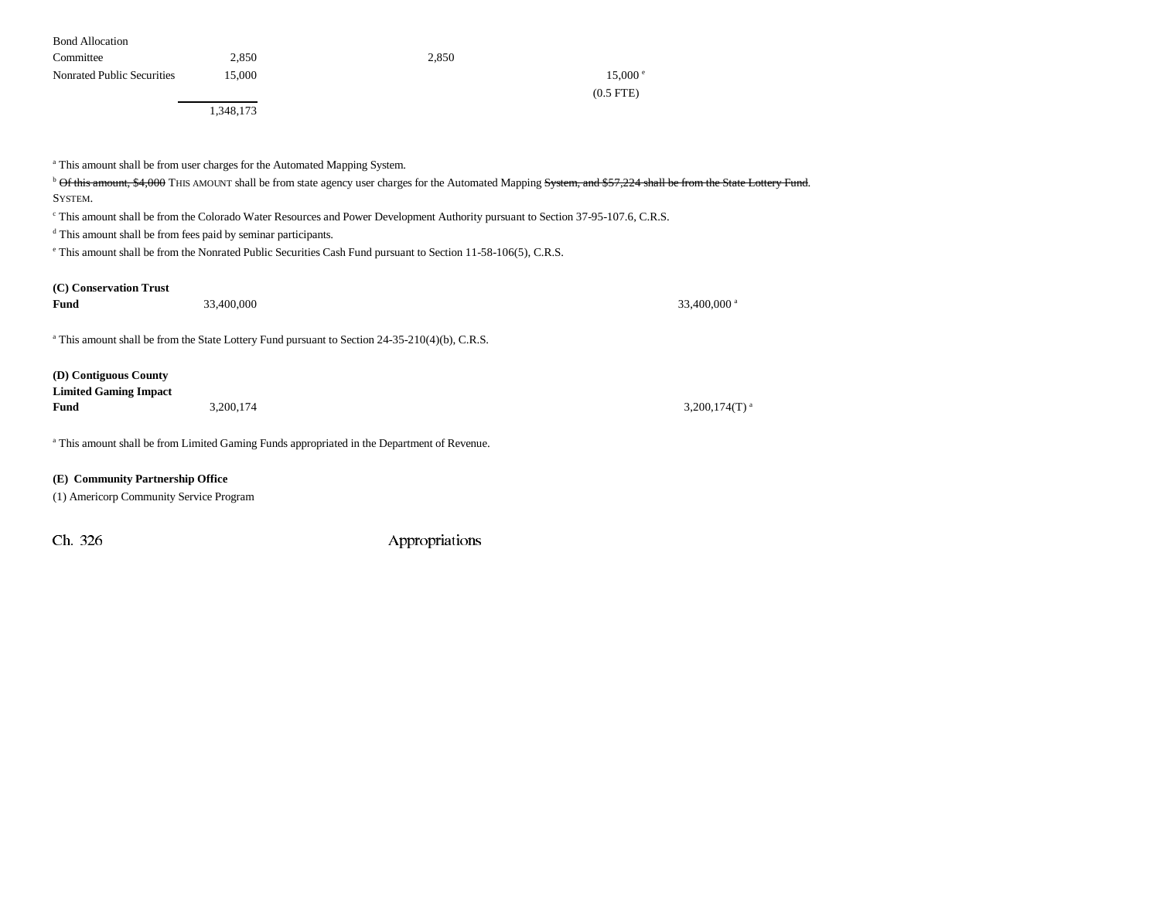| <b>Bond Allocation</b>            |           |       |             |
|-----------------------------------|-----------|-------|-------------|
| Committee                         | 2,850     | 2,850 |             |
| <b>Nonrated Public Securities</b> | 15,000    |       | 15,000 e    |
|                                   |           |       | $(0.5$ FTE) |
|                                   | 1,348,173 |       |             |

<sup>a</sup> This amount shall be from user charges for the Automated Mapping System.

<sup>b</sup> Of this amount, \$4,000 THIS AMOUNT shall be from state agency user charges for the Automated Mapping System, and \$57,224 shall be from the State Lottery Fund. SYSTEM.

c This amount shall be from the Colorado Water Resources and Power Development Authority pursuant to Section 37-95-107.6, C.R.S.

d This amount shall be from fees paid by seminar participants.

e This amount shall be from the Nonrated Public Securities Cash Fund pursuant to Section 11-58-106(5), C.R.S.

| (C) Conservation Trust<br>Fund                                | 33,400,000                                                                                             | 33,400,000 <sup>a</sup>      |
|---------------------------------------------------------------|--------------------------------------------------------------------------------------------------------|------------------------------|
|                                                               | $\alpha$ This amount shall be from the State Lottery Fund pursuant to Section 24-35-210(4)(b), C.R.S.  |                              |
| (D) Contiguous County<br><b>Limited Gaming Impact</b><br>Fund | 3.200.174                                                                                              | 3,200,174 $(T)$ <sup>a</sup> |
|                                                               | <sup>a</sup> This amount shall be from Limited Gaming Funds appropriated in the Department of Revenue. |                              |

**(E) Community Partnership Office**

(1) Americorp Community Service Program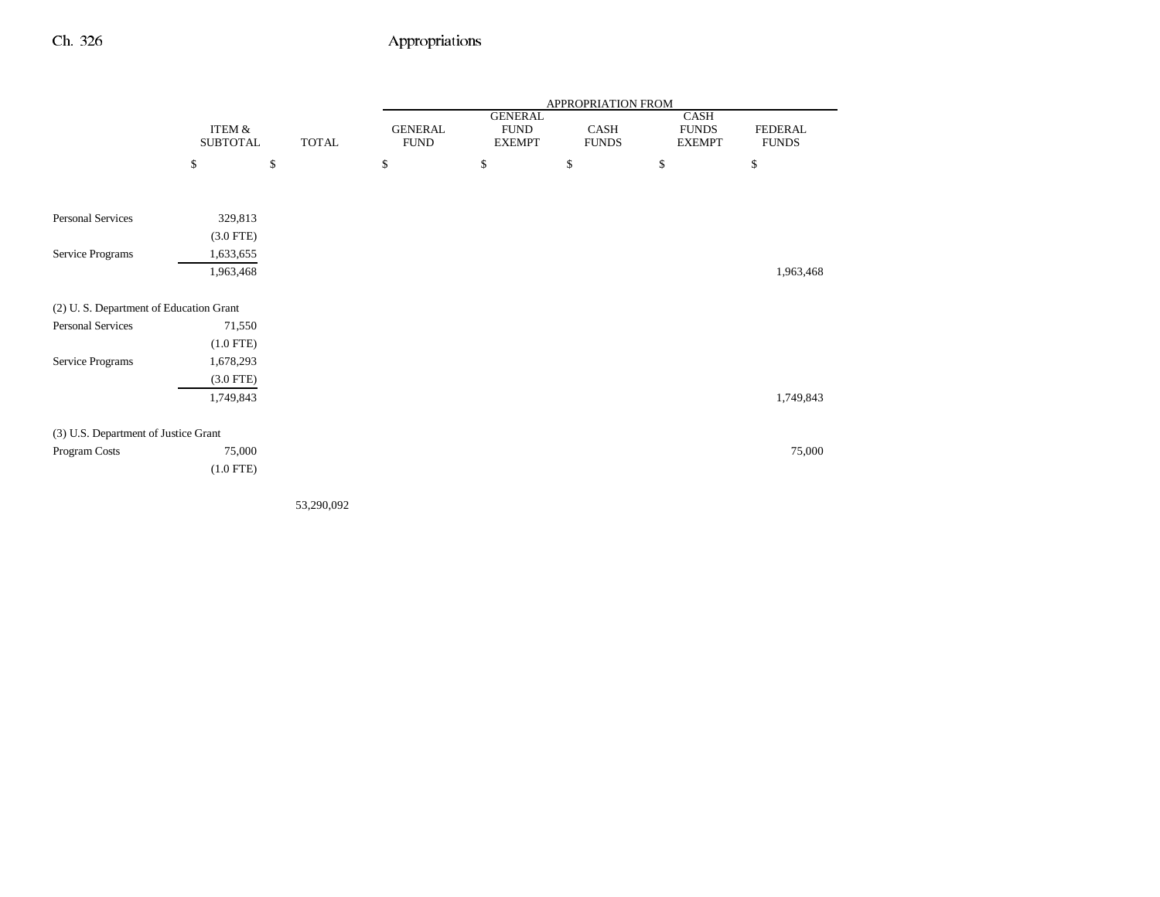|                                        |                           |              |                               |                                                | APPROPRIATION FROM   |                                       |                                |
|----------------------------------------|---------------------------|--------------|-------------------------------|------------------------------------------------|----------------------|---------------------------------------|--------------------------------|
|                                        | ITEM &<br><b>SUBTOTAL</b> | <b>TOTAL</b> | <b>GENERAL</b><br><b>FUND</b> | <b>GENERAL</b><br><b>FUND</b><br><b>EXEMPT</b> | CASH<br><b>FUNDS</b> | CASH<br><b>FUNDS</b><br><b>EXEMPT</b> | <b>FEDERAL</b><br><b>FUNDS</b> |
|                                        | \$                        | $\mathbb{S}$ | \$                            | \$                                             | \$                   | \$                                    | $\mathbb{S}$                   |
|                                        |                           |              |                               |                                                |                      |                                       |                                |
| Personal Services                      | 329,813                   |              |                               |                                                |                      |                                       |                                |
|                                        | $(3.0$ FTE)               |              |                               |                                                |                      |                                       |                                |
| Service Programs                       | 1,633,655                 |              |                               |                                                |                      |                                       |                                |
|                                        | 1,963,468                 |              |                               |                                                |                      |                                       | 1,963,468                      |
| (2) U.S. Department of Education Grant |                           |              |                               |                                                |                      |                                       |                                |
| Personal Services                      | 71,550                    |              |                               |                                                |                      |                                       |                                |
|                                        | $(1.0$ FTE)               |              |                               |                                                |                      |                                       |                                |
| Service Programs                       | 1,678,293                 |              |                               |                                                |                      |                                       |                                |
|                                        | $(3.0$ FTE)               |              |                               |                                                |                      |                                       |                                |
|                                        | 1,749,843                 |              |                               |                                                |                      |                                       | 1,749,843                      |
| (3) U.S. Department of Justice Grant   |                           |              |                               |                                                |                      |                                       |                                |
| Program Costs                          | 75,000                    |              |                               |                                                |                      |                                       | 75,000                         |
|                                        | $(1.0$ FTE)               |              |                               |                                                |                      |                                       |                                |
|                                        |                           |              |                               |                                                |                      |                                       |                                |
|                                        |                           |              |                               |                                                |                      |                                       |                                |

53,290,092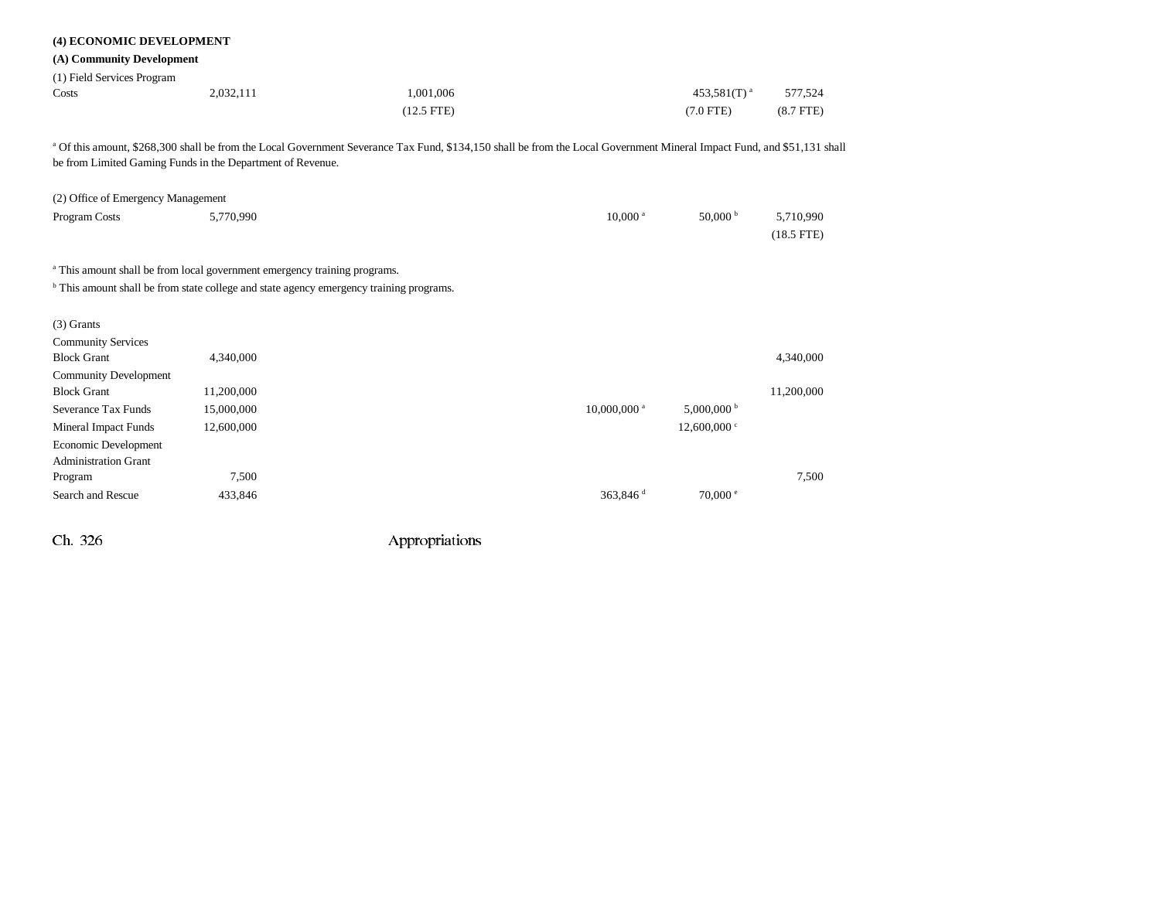| (4) ECONOMIC DEVELOPMENT<br>(A) Community Development<br>(1) Field Services Program<br>Costs | 2,032,111  | 1,001,006                                                                                                                                                               |                         | 453,581 $(T)$ <sup>a</sup> | 577,524                   |
|----------------------------------------------------------------------------------------------|------------|-------------------------------------------------------------------------------------------------------------------------------------------------------------------------|-------------------------|----------------------------|---------------------------|
|                                                                                              |            | $(12.5$ FTE)                                                                                                                                                            |                         | $(7.0$ FTE)                | $(8.7$ FTE)               |
| be from Limited Gaming Funds in the Department of Revenue.                                   |            | a Of this amount, \$268,300 shall be from the Local Government Severance Tax Fund, \$134,150 shall be from the Local Government Mineral Impact Fund, and \$51,131 shall |                         |                            |                           |
| (2) Office of Emergency Management                                                           |            |                                                                                                                                                                         |                         |                            |                           |
| Program Costs                                                                                | 5,770,990  |                                                                                                                                                                         | $10,000$ <sup>a</sup>   | 50,000 $^{\rm b}$          | 5,710,990<br>$(18.5$ FTE) |
| <sup>a</sup> This amount shall be from local government emergency training programs.         |            |                                                                                                                                                                         |                         |                            |                           |
|                                                                                              |            | <sup>b</sup> This amount shall be from state college and state agency emergency training programs.                                                                      |                         |                            |                           |
| $(3)$ Grants<br><b>Community Services</b>                                                    |            |                                                                                                                                                                         |                         |                            |                           |
| <b>Block Grant</b>                                                                           | 4,340,000  |                                                                                                                                                                         |                         |                            | 4,340,000                 |
| <b>Community Development</b>                                                                 |            |                                                                                                                                                                         |                         |                            |                           |
| <b>Block Grant</b>                                                                           | 11,200,000 |                                                                                                                                                                         |                         |                            | 11,200,000                |
| <b>Severance Tax Funds</b>                                                                   | 15,000,000 |                                                                                                                                                                         | 10,000,000 <sup>a</sup> | $5,000,000$ b              |                           |
| <b>Mineral Impact Funds</b>                                                                  | 12,600,000 |                                                                                                                                                                         |                         | $12,600,000$ c             |                           |
| Economic Development<br><b>Administration Grant</b>                                          |            |                                                                                                                                                                         |                         |                            |                           |
| Program                                                                                      | 7,500      |                                                                                                                                                                         |                         |                            | 7,500                     |
| Search and Rescue                                                                            | 433,846    |                                                                                                                                                                         | 363,846 $d$             | $70,000$ $\degree$         |                           |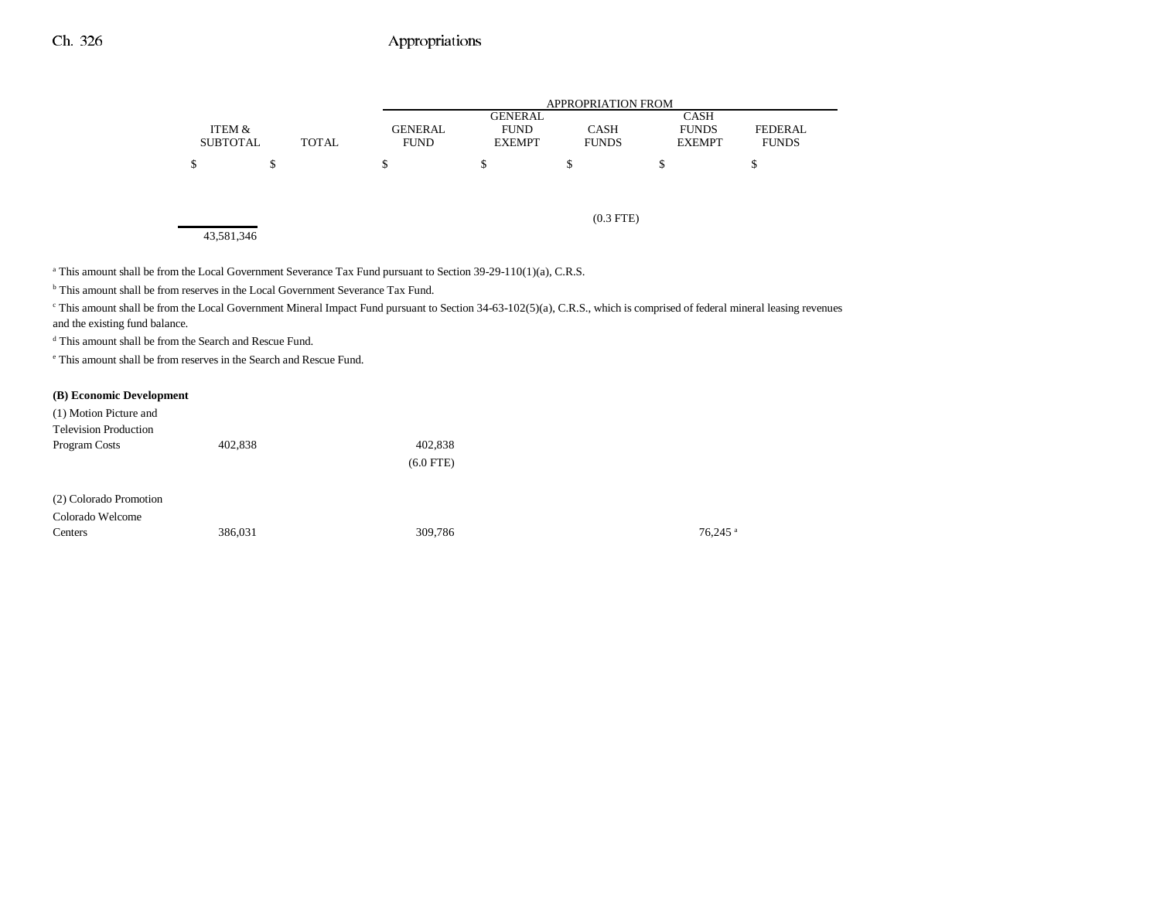|                 |              |             | APPROPRIATION FROM |              |               |                |  |  |
|-----------------|--------------|-------------|--------------------|--------------|---------------|----------------|--|--|
|                 |              |             | <b>GENERAL</b>     |              | CASH          |                |  |  |
| ITEM &          |              | GENERAL     | <b>FUND</b>        | <b>CASH</b>  | <b>FUNDS</b>  | <b>FEDERAL</b> |  |  |
| <b>SUBTOTAL</b> | <b>TOTAL</b> | <b>FUND</b> | <b>EXEMPT</b>      | <b>FUNDS</b> | <b>EXEMPT</b> | <b>FUNDS</b>   |  |  |
|                 |              |             |                    |              | S             |                |  |  |

43,581,346

(0.3 FTE)

<sup>a</sup> This amount shall be from the Local Government Severance Tax Fund pursuant to Section 39-29-110(1)(a), C.R.S.

<sup>b</sup> This amount shall be from reserves in the Local Government Severance Tax Fund.

<sup>c</sup> This amount shall be from the Local Government Mineral Impact Fund pursuant to Section 34-63-102(5)(a), C.R.S., which is comprised of federal mineral leasing revenues and the existing fund balance.

d This amount shall be from the Search and Rescue Fund.

e This amount shall be from reserves in the Search and Rescue Fund.

#### **(B) Economic Development**

| (1) Motion Picture and<br><b>Television Production</b> |         |             |                       |
|--------------------------------------------------------|---------|-------------|-----------------------|
| Program Costs                                          | 402,838 | 402,838     |                       |
|                                                        |         | $(6.0$ FTE) |                       |
| (2) Colorado Promotion                                 |         |             |                       |
| Colorado Welcome                                       |         |             |                       |
| Centers                                                | 386.031 | 309,786     | $76.245$ <sup>a</sup> |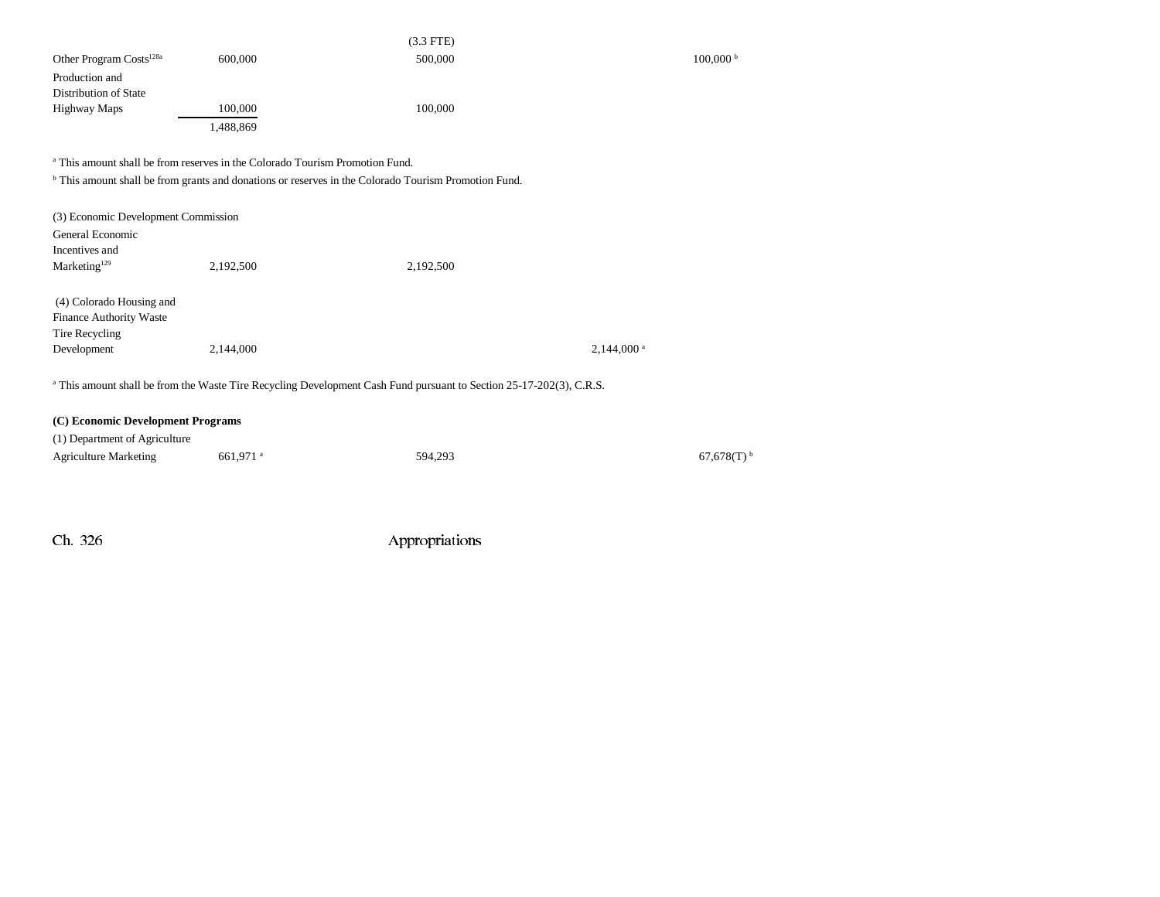|                                     |           | $(3.3$ FTE) |                        |
|-------------------------------------|-----------|-------------|------------------------|
| Other Program Costs <sup>128a</sup> | 600,000   | 500,000     | $100,000$ <sup>t</sup> |
| Production and                      |           |             |                        |
| Distribution of State               |           |             |                        |
| Highway Maps                        | 100,000   | 100,000     |                        |
|                                     | 1,488,869 |             |                        |

a This amount shall be from reserves in the Colorado Tourism Promotion Fund.

<sup>b</sup> This amount shall be from grants and donations or reserves in the Colorado Tourism Promotion Fund.

| (3) Economic Development Commission |           |                                                                                                                                |                         |
|-------------------------------------|-----------|--------------------------------------------------------------------------------------------------------------------------------|-------------------------|
| General Economic                    |           |                                                                                                                                |                         |
| Incentives and                      |           |                                                                                                                                |                         |
| Marketing <sup>129</sup>            | 2,192,500 | 2,192,500                                                                                                                      |                         |
| (4) Colorado Housing and            |           |                                                                                                                                |                         |
| Finance Authority Waste             |           |                                                                                                                                |                         |
| Tire Recycling                      |           |                                                                                                                                |                         |
| Development                         | 2.144,000 |                                                                                                                                | $2.144.000^{\text{ a}}$ |
|                                     |           |                                                                                                                                |                         |
|                                     |           | <sup>a</sup> This amount shall be from the Waste Tire Recycling Development Cash Fund pursuant to Section 25-17-202(3), C.R.S. |                         |

#### **(C) Economic Development Programs**

| (1) Department of Agriculture |                        |         |                          |
|-------------------------------|------------------------|---------|--------------------------|
| <b>Agriculture Marketing</b>  | $661.971$ <sup>a</sup> | 594.293 | $67.678(T)$ <sup>b</sup> |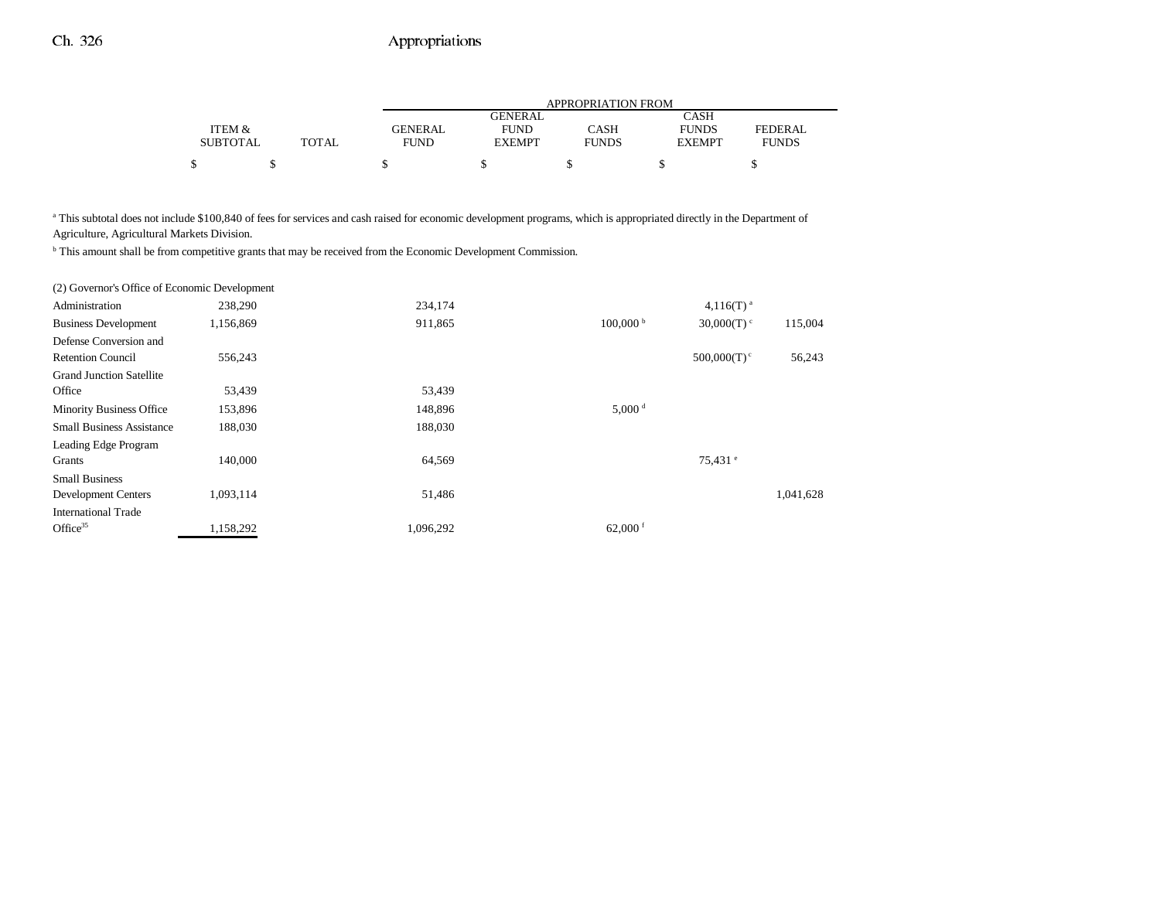|                 |              | APPROPRIATION FROM |                |              |               |              |
|-----------------|--------------|--------------------|----------------|--------------|---------------|--------------|
|                 |              |                    | <b>GENERAL</b> |              | CASH          |              |
| ITEM &          |              | <b>GENERAL</b>     | <b>FUND</b>    | CASH         | <b>FUNDS</b>  | FEDERAL      |
| <b>SUBTOTAL</b> | <b>TOTAL</b> | FUND               | <b>EXEMPT</b>  | <b>FUNDS</b> | <b>EXEMPT</b> | <b>FUNDS</b> |
| Φ               |              |                    |                |              |               |              |

<sup>a</sup> This subtotal does not include \$100,840 of fees for services and cash raised for economic development programs, which is appropriated directly in the Department of Agriculture, Agricultural Markets Division.

b This amount shall be from competitive grants that may be received from the Economic Development Commission.

| (2) Governor's Office of Economic Development |           |           |                        |                           |           |
|-----------------------------------------------|-----------|-----------|------------------------|---------------------------|-----------|
| Administration                                | 238,290   | 234,174   |                        | $4,116(T)$ <sup>a</sup>   |           |
| <b>Business Development</b>                   | 1,156,869 | 911,865   | $100,000^{\mathrm{b}}$ | 30,000(T)                 | 115,004   |
| Defense Conversion and                        |           |           |                        |                           |           |
| <b>Retention Council</b>                      | 556,243   |           |                        | $500,000(T)$ <sup>c</sup> | 56,243    |
| <b>Grand Junction Satellite</b>               |           |           |                        |                           |           |
| Office                                        | 53,439    | 53,439    |                        |                           |           |
| <b>Minority Business Office</b>               | 153,896   | 148,896   | $5,000$ <sup>d</sup>   |                           |           |
| <b>Small Business Assistance</b>              | 188,030   | 188,030   |                        |                           |           |
| Leading Edge Program                          |           |           |                        |                           |           |
| Grants                                        | 140,000   | 64,569    |                        | $75,431$ $^{\circ}$       |           |
| <b>Small Business</b>                         |           |           |                        |                           |           |
| <b>Development Centers</b>                    | 1,093,114 | 51,486    |                        |                           | 1,041,628 |
| <b>International Trade</b>                    |           |           |                        |                           |           |
| Office $35$                                   | 1,158,292 | 1,096,292 | 62,000 $f$             |                           |           |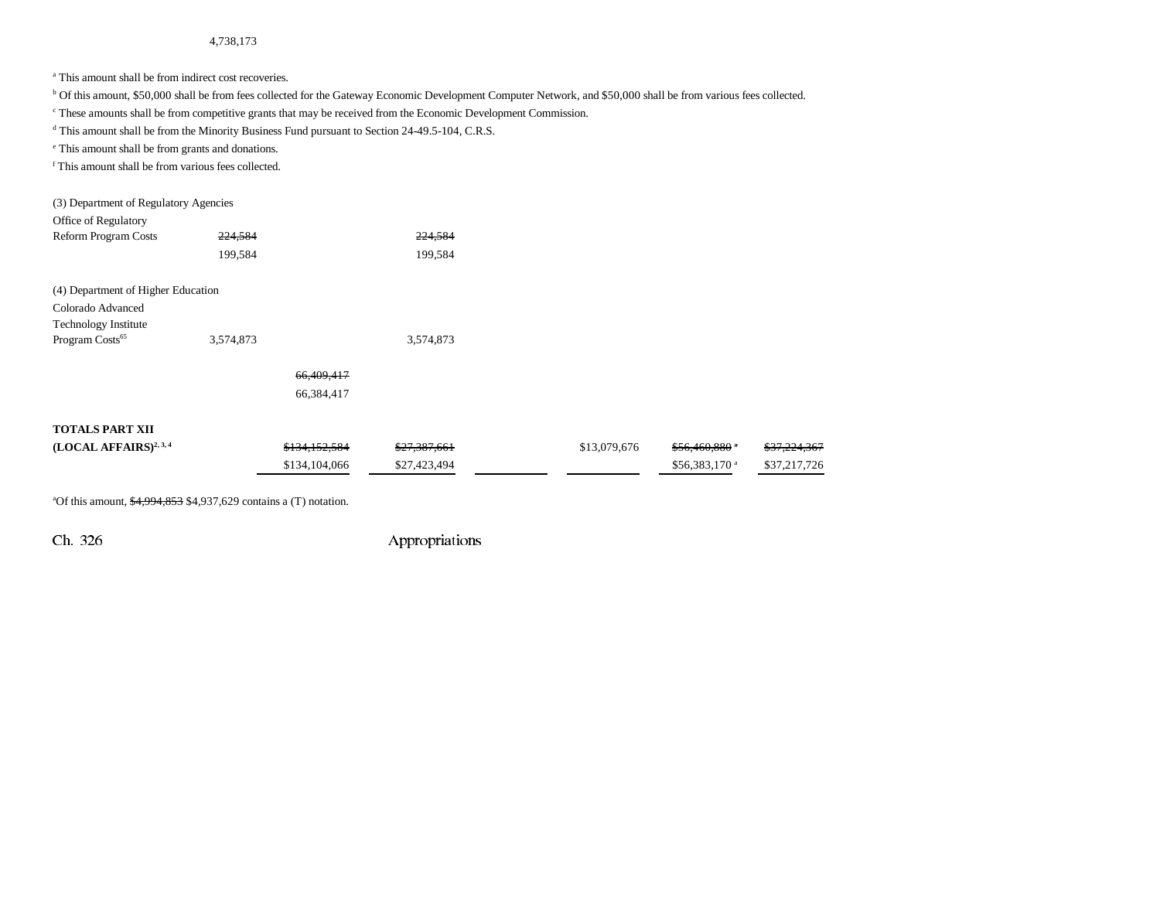4,738,173

<sup>a</sup> This amount shall be from indirect cost recoveries.

b Of this amount, \$50,000 shall be from fees collected for the Gateway Economic Development Computer Network, and \$50,000 shall be from various fees collected.

c These amounts shall be from competitive grants that may be received from the Economic Development Commission.

<sup>d</sup> This amount shall be from the Minority Business Fund pursuant to Section 24-49.5-104, C.R.S.

e This amount shall be from grants and donations.

f This amount shall be from various fees collected.

| (3) Department of Regulatory Agencies |               |              |              |                           |                         |
|---------------------------------------|---------------|--------------|--------------|---------------------------|-------------------------|
| Office of Regulatory                  |               |              |              |                           |                         |
| <b>Reform Program Costs</b>           | 224,584       | 224,584      |              |                           |                         |
|                                       | 199,584       | 199,584      |              |                           |                         |
| (4) Department of Higher Education    |               |              |              |                           |                         |
| Colorado Advanced                     |               |              |              |                           |                         |
| <b>Technology Institute</b>           |               |              |              |                           |                         |
| Program Costs <sup>65</sup>           | 3,574,873     | 3,574,873    |              |                           |                         |
|                                       | 66,409,417    |              |              |                           |                         |
|                                       | 66,384,417    |              |              |                           |                         |
| <b>TOTALS PART XII</b>                |               |              |              |                           |                         |
| $(LOCAL AFFAIRS)^{2,3,4}$             | \$134,152,584 | \$27,387,661 | \$13,079,676 | $$56,460,880$ *           | <del>\$37,224,367</del> |
|                                       | \$134,104,066 | \$27,423,494 |              | \$56,383,170 <sup>a</sup> | \$37,217,726            |
|                                       |               |              |              |                           |                         |

<sup>a</sup>Of this amount,  $\frac{$4,994,853}{$4,937,629}$  contains a (T) notation.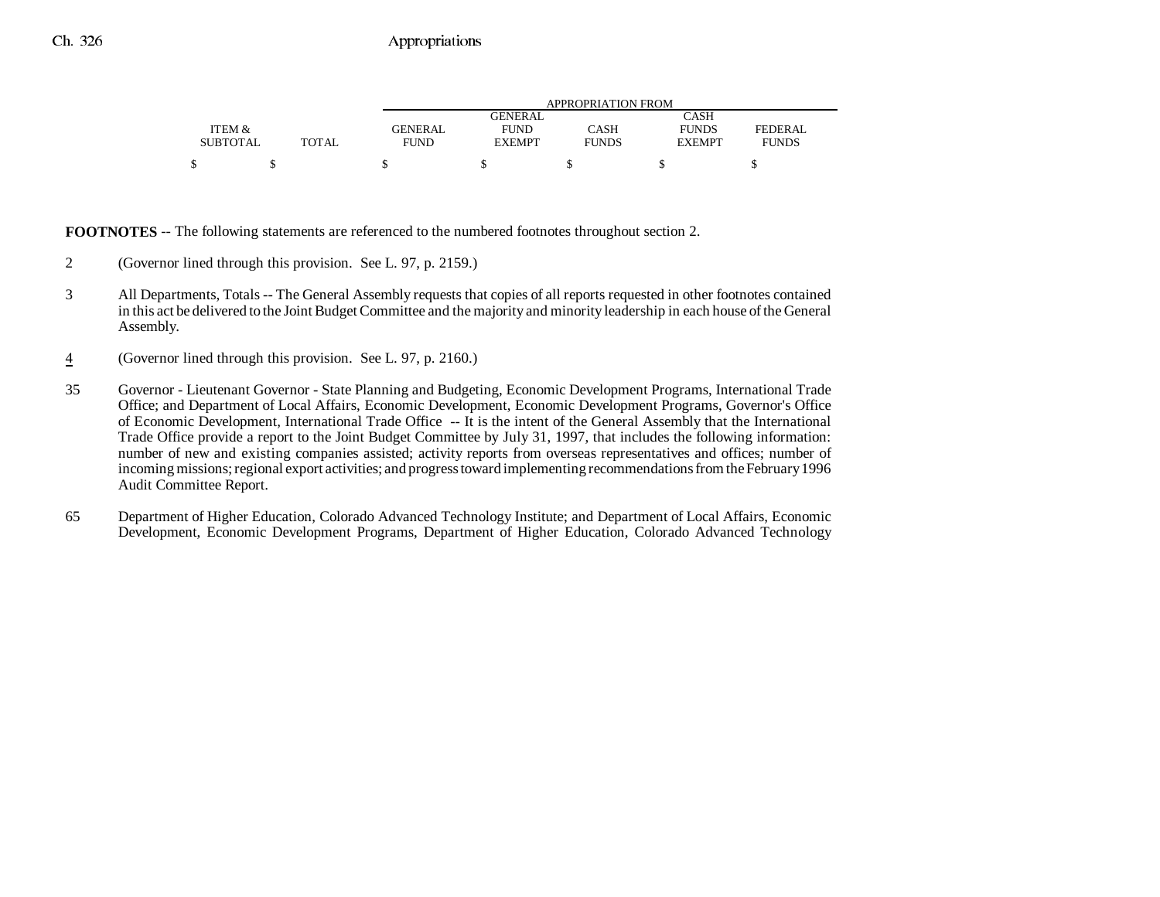|                 |              | APPROPRIATION FROM |                |              |               |                |
|-----------------|--------------|--------------------|----------------|--------------|---------------|----------------|
|                 |              |                    | <b>GENERAL</b> |              | CASH          |                |
| ITEM &          |              | <b>GENERAL</b>     | <b>FUND</b>    | CASH         | <b>FUNDS</b>  | <b>FEDERAL</b> |
| <b>SUBTOTAL</b> | <b>TOTAL</b> | FUND               | <b>EXEMPT</b>  | <b>FUNDS</b> | <b>EXEMPT</b> | <b>FUNDS</b>   |
| \$              |              |                    |                |              |               |                |

**FOOTNOTES** -- The following statements are referenced to the numbered footnotes throughout section 2.

- 2 (Governor lined through this provision. See L. 97, p. 2159.)
- 3 All Departments, Totals -- The General Assembly requests that copies of all reports requested in other footnotes contained in this act be delivered to the Joint Budget Committee and the majority and minority leadership in each house of the General Assembly.
- 4(Governor lined through this provision. See L. 97, p. 2160.)
- 35 Governor Lieutenant Governor State Planning and Budgeting, Economic Development Programs, International Trade Office; and Department of Local Affairs, Economic Development, Economic Development Programs, Governor's Office of Economic Development, International Trade Office -- It is the intent of the General Assembly that the International Trade Office provide a report to the Joint Budget Committee by July 31, 1997, that includes the following information: number of new and existing companies assisted; activity reports from overseas representatives and offices; number of incoming missions; regional export activities; and progress toward implementing recommendations from the February 1996 Audit Committee Report.
- 65 Department of Higher Education, Colorado Advanced Technology Institute; and Department of Local Affairs, Economic Development, Economic Development Programs, Department of Higher Education, Colorado Advanced Technology